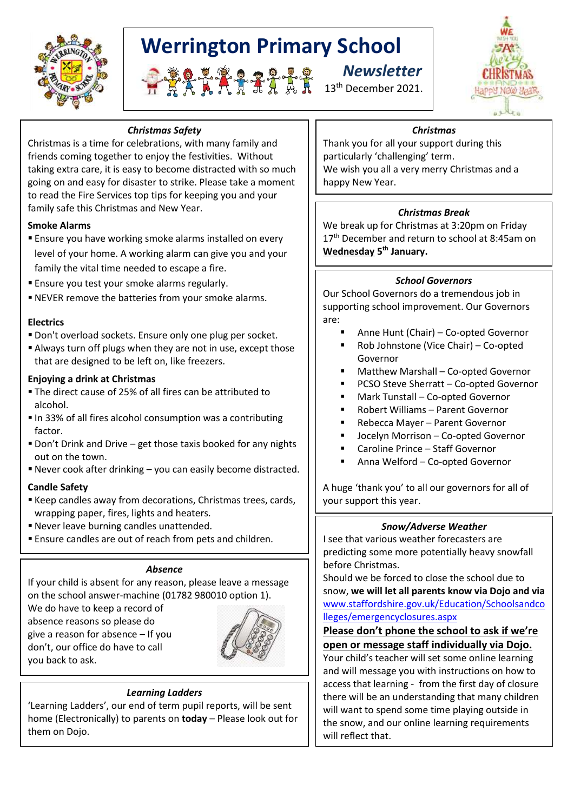

# **Werrington Primary School**



# *Christmas Safety*

Christmas is a time for celebrations, with many family and friends coming together to enjoy the festivities. Without taking extra care, it is easy to become distracted with so much going on and easy for disaster to strike. Please take a moment to read the Fire Services top tips for keeping you and your family safe this Christmas and New Year.

## **Smoke Alarms**

- **Ensure you have working smoke alarms installed on every** level of your home. A working alarm can give you and your family the vital time needed to escape a fire.
- **Ensure you test your smoke alarms regularly.**
- NEVER remove the batteries from your smoke alarms.

## **Electrics**

- Don't overload sockets. Ensure only one plug per socket.
- Always turn off plugs when they are not in use, except those that are designed to be left on, like freezers.

## **Enjoying a drink at Christmas**

- The direct cause of 25% of all fires can be attributed to alcohol.
- In 33% of all fires alcohol consumption was a contributing factor.
- **Don't Drink and Drive get those taxis booked for any nights** out on the town.
- Never cook after drinking you can easily become distracted.

## **Candle Safety**

- Keep candles away from decorations, Christmas trees, cards, wrapping paper, fires, lights and heaters.
- Never leave burning candles unattended.
- Ensure candles are out of reach from pets and children.

## *Absence*

If your child is absent for any reason, please leave a message on the school answer-machine (01782 980010 option 1).

We do have to keep a record of absence reasons so please do give a reason for absence – If you don't, our office do have to call you back to ask.



## *Learning Ladders*

'Learning Ladders', our end of term pupil reports, will be sent home (Electronically) to parents on **today** – Please look out for them on Dojo.

## *Christmas*

Thank you for all your support during this particularly 'challenging' term. We wish you all a very merry Christmas and a happy New Year.

## *Christmas Break*

We break up for Christmas at 3:20pm on Friday 17<sup>th</sup> December and return to school at 8:45am on **Wednesday 5 th January.**

## *School Governors*

Our School Governors do a tremendous job in supporting school improvement. Our Governors are:

- Anne Hunt (Chair) Co-opted Governor
- Rob Johnstone (Vice Chair) Co-opted Governor
- Matthew Marshall Co-opted Governor
- PCSO Steve Sherratt Co-opted Governor
- Mark Tunstall Co-opted Governor
- Robert Williams Parent Governor
- Rebecca Mayer Parent Governor
- Jocelyn Morrison Co-opted Governor
- Caroline Prince Staff Governor
- Anna Welford Co-opted Governor

A huge 'thank you' to all our governors for all of your support this year.

## *Snow/Adverse Weather*

I see that various weather forecasters are predicting some more potentially heavy snowfall before Christmas.

Should we be forced to close the school due to snow, **we will let all parents know via Dojo and via**  [www.staffordshire.gov.uk/Education/Schoolsandco](http://www.staffordshire.gov.uk/Education/Schoolsandcolleges/emergencyclosures.aspx) [lleges/emergencyclosures.aspx](http://www.staffordshire.gov.uk/Education/Schoolsandcolleges/emergencyclosures.aspx)

**Please don't phone the school to ask if we're open or message staff individually via Dojo.**

Your child's teacher will set some online learning and will message you with instructions on how to access that learning - from the first day of closure there will be an understanding that many children will want to spend some time playing outside in the snow, and our online learning requirements will reflect that.